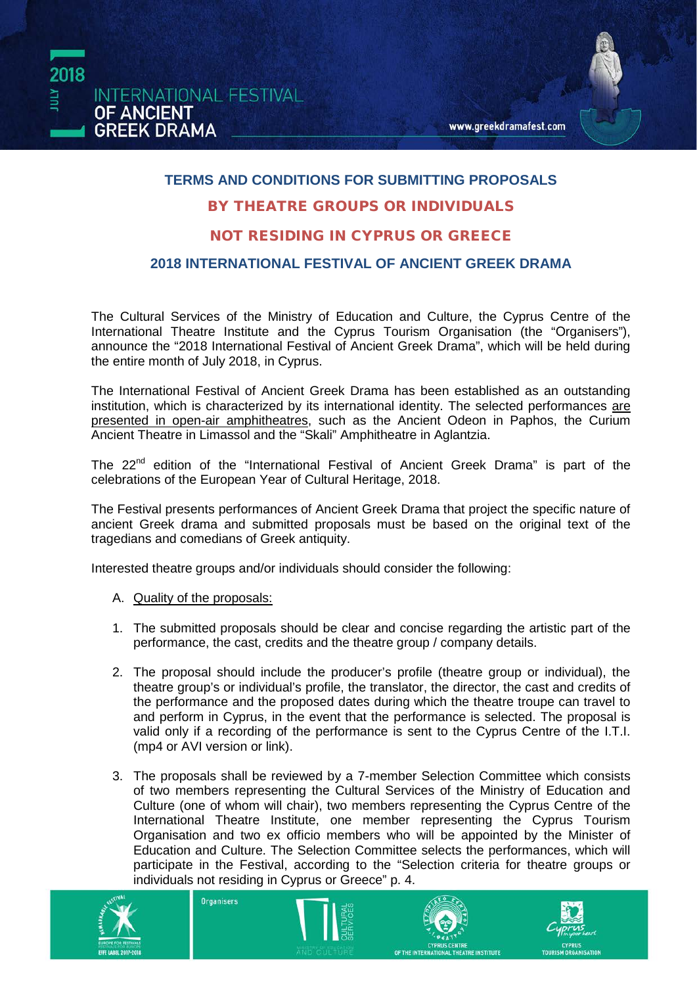

#### **TERMS AND CONDITIONS FOR SUBMITTING PROPOSALS**

#### BY THEATRE GROUPS OR INDIVIDUALS

#### NOT RESIDING IN CYPRUS OR GREECE

#### **2018 INTERNATIONAL FESTIVAL OF ANCIENT GREEK DRAMA**

The Cultural Services of the Ministry of Education and Culture, the Cyprus Centre of the International Theatre Institute and the Cyprus Tourism Organisation (the "Οrganisers"), announce the "2018 International Festival of Ancient Greek Drama", which will be held during the entire month of July 2018, in Cyprus.

The International Festival of Ancient Greek Drama has been established as an outstanding institution, which is characterized by its international identity. The selected performances are presented in open-air amphitheatres, such as the Ancient Odeon in Paphos, the Curium Ancient Theatre in Limassol and the "Skali" Amphitheatre in Aglantzia.

The 22<sup>nd</sup> edition of the "International Festival of Ancient Greek Drama" is part of the celebrations of the European Year of Cultural Heritage, 2018.

The Festival presents performances of Ancient Greek Drama that project the specific nature of ancient Greek drama and submitted proposals must be based on the original text of the tragedians and comedians of Greek antiquity.

Interested theatre groups and/or individuals should consider the following:

- A. Quality of the proposals:
- 1. The submitted proposals should be clear and concise regarding the artistic part of the performance, the cast, credits and the theatre group / company details.
- 2. The proposal should include the producer's profile (theatre group or individual), the theatre group's or individual's profile, the translator, the director, the cast and credits of the performance and the proposed dates during which the theatre troupe can travel to and perform in Cyprus, in the event that the performance is selected. The proposal is valid only if a recording of the performance is sent to the Cyprus Centre of the I.T.I. (mp4 or AVI version or link).
- 3. The proposals shall be reviewed by a 7-member Selection Committee which consists of two members representing the Cultural Services of the Ministry of Education and Culture (one of whom will chair), two members representing the Cyprus Centre of the International Theatre Institute, one member representing the Cyprus Tourism Organisation and two ex officio members who will be appointed by the Minister of Education and Culture. The Selection Committee selects the performances, which will participate in the Festival, according to the "Selection criteria for theatre groups or individuals not residing in Cyprus or Greece" p. 4.









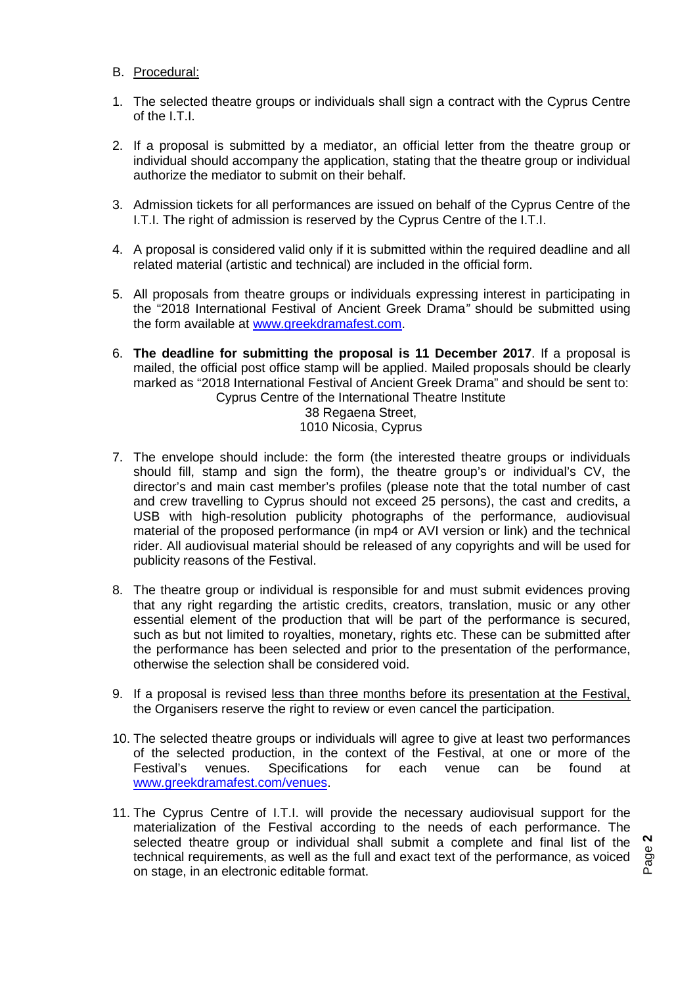- B. Procedural:
- 1. The selected theatre groups or individuals shall sign a contract with the Cyprus Centre of the I.T.I.
- 2. If a proposal is submitted by a mediator, an official letter from the theatre group or individual should accompany the application, stating that the theatre group or individual authorize the mediator to submit on their behalf.
- 3. Admission tickets for all performances are issued on behalf of the Cyprus Centre of the I.T.I. The right of admission is reserved by the Cyprus Centre of the I.T.I.
- 4. A proposal is considered valid only if it is submitted within the required deadline and all related material (artistic and technical) are included in the official form.
- 5. All proposals from theatre groups or individuals expressing interest in participating in the "2018 International Festival of Ancient Greek Drama*"* should be submitted using the form available at [www.greekdramafest.com.](http://www.greekdramafest.com/)
- 6. **The deadline for submitting the proposal is 11 December 2017**. If a proposal is mailed, the official post office stamp will be applied. Mailed proposals should be clearly marked as "2018 International Festival of Ancient Greek Drama" and should be sent to: Cyprus Centre of the International Theatre Institute 38 Regaena Street,

1010 Nicosia, Cyprus

- 7. The envelope should include: the form (the interested theatre groups or individuals should fill, stamp and sign the form), the theatre group's or individual's CV, the director's and main cast member's profiles (please note that the total number of cast and crew travelling to Cyprus should not exceed 25 persons), the cast and credits, a USB with high-resolution publicity photographs of the performance, audiovisual material of the proposed performance (in mp4 or AVI version or link) and the technical rider. All audiovisual material should be released of any copyrights and will be used for publicity reasons of the Festival.
- 8. The theatre group or individual is responsible for and must submit evidences proving that any right regarding the artistic credits, creators, translation, music or any other essential element of the production that will be part of the performance is secured, such as but not limited to royalties, monetary, rights etc. These can be submitted after the performance has been selected and prior to the presentation of the performance, otherwise the selection shall be considered void.
- 9. If a proposal is revised less than three months before its presentation at the Festival, the Organisers reserve the right to review or even cancel the participation.
- 10. The selected theatre groups or individuals will agree to give at least two performances of the selected production, in the context of the Festival, at one or more of the Festival's venues. Specifications for each venue can be found at [www.greekdramafest.com/venues.](http://www.greekdramafest.com/venues)
- 11. The Cyprus Centre of I.T.I. will provide the necessary audiovisual support for the materialization of the Festival according to the needs of each performance. The selected theatre group or individual shall submit a complete and final list of the technical requirements, as well as the full and exact text of the performance, as voiced on stage, in an electronic editable format.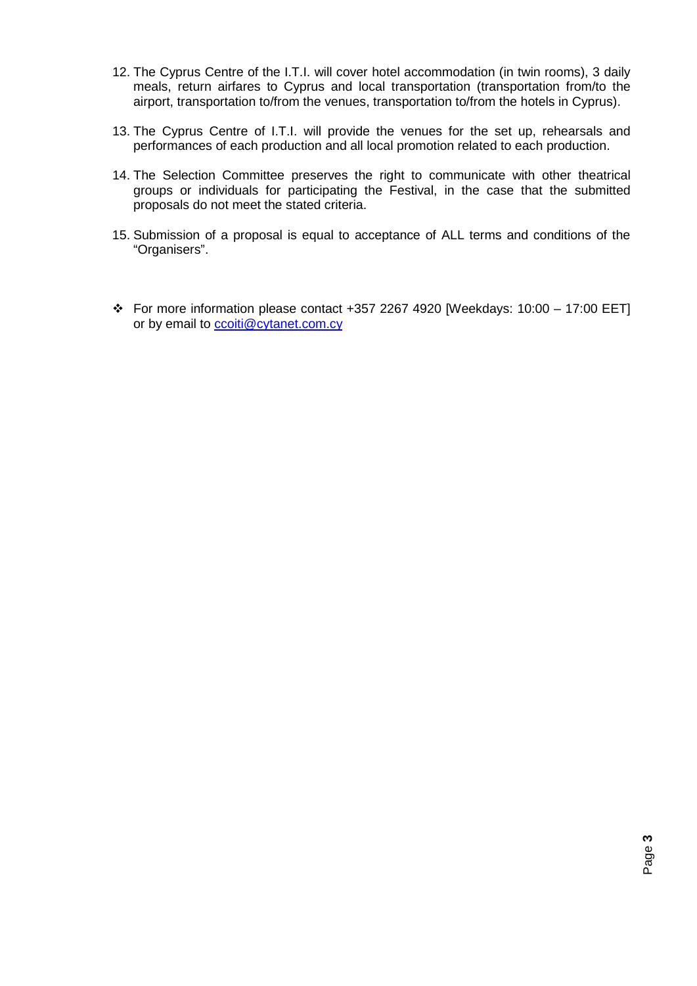- 12. The Cyprus Centre of the I.T.I. will cover hotel accommodation (in twin rooms), 3 daily meals, return airfares to Cyprus and local transportation (transportation from/to the airport, transportation to/from the venues, transportation to/from the hotels in Cyprus).
- 13. The Cyprus Centre of I.T.I. will provide the venues for the set up, rehearsals and performances of each production and all local promotion related to each production.
- 14. The Selection Committee preserves the right to communicate with other theatrical groups or individuals for participating the Festival, in the case that the submitted proposals do not meet the stated criteria.
- 15. Submission of a proposal is equal to acceptance of ALL terms and conditions of the "Organisers".
- $\div$  For more information please contact +357 2267 4920 [Weekdays: 10:00 17:00 EET] or by email to [ccoiti@cytanet.com.cy](mailto:ccoiti@cytanet.com.cy)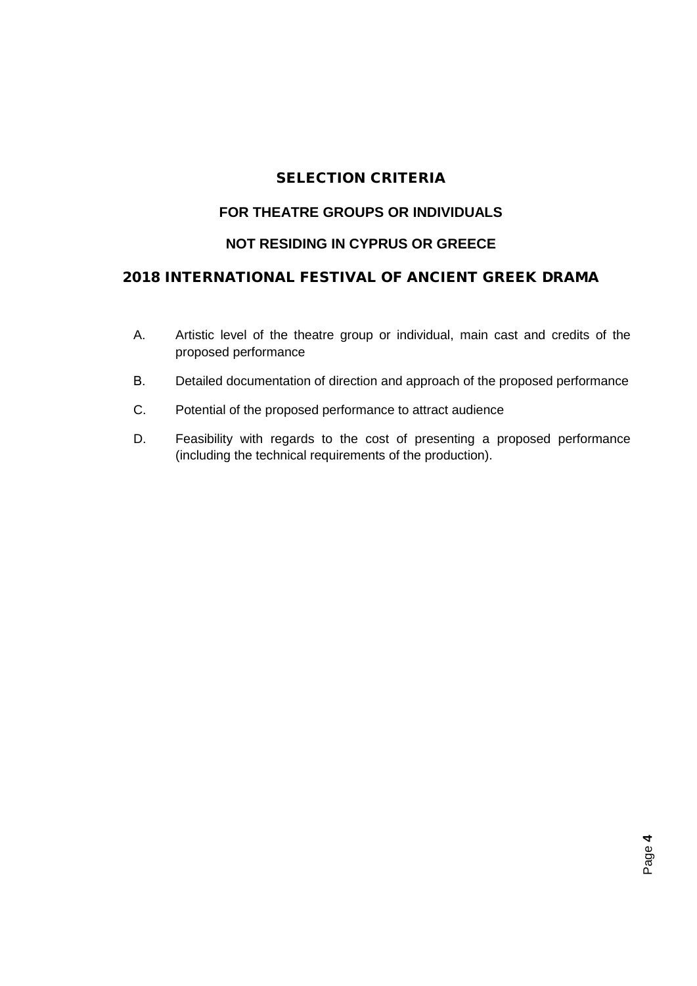# SELECTION CRITERIA

## **FOR THEATRE GROUPS OR INDIVIDUALS**

### **NOT RESIDING IN CYPRUS OR GREECE**

# 2018 INTERNATIONAL FESTIVAL OF ANCIENT GREEK DRAMA

- A. Artistic level of the theatre group or individual, main cast and credits of the proposed performance
- Β. Detailed documentation of direction and approach of the proposed performance
- C. Potential of the proposed performance to attract audience
- D. Feasibility with regards to the cost of presenting a proposed performance (including the technical requirements of the production).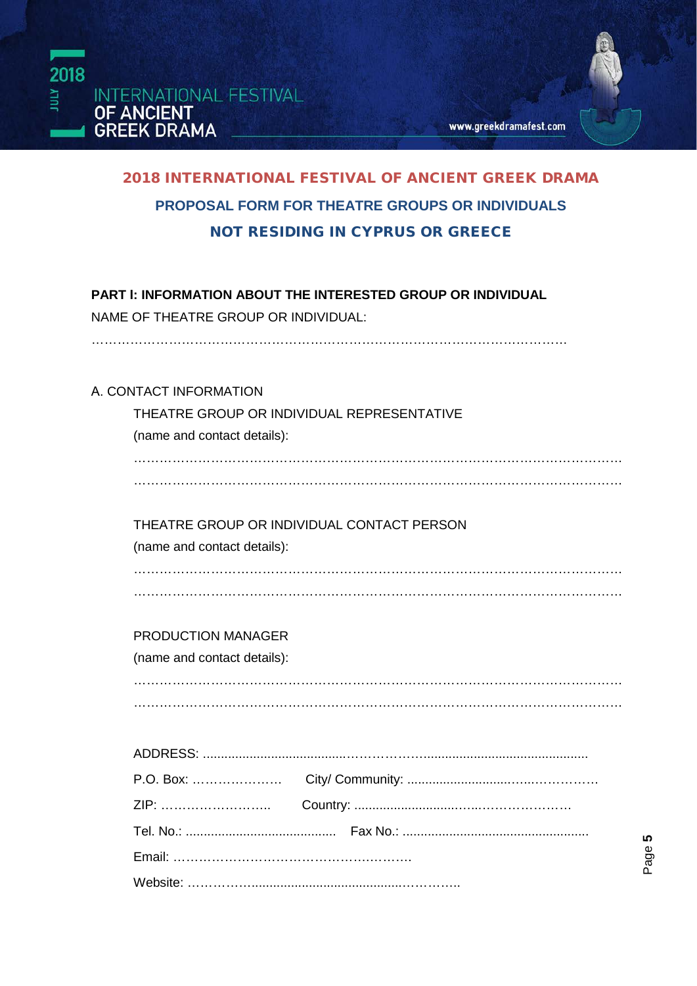



# 2018 INTERNATIONAL FESTIVAL OF ANCIENT GREEK DRAMA **PROPOSAL FORM FOR THEATRE GROUPS OR INDIVIDUALS**  NOT RESIDING IN CYPRUS OR GREECE

# **PART Ι: INFORMATION ABOUT THE INTERESTED GROUP OR INDIVIDUAL**

NAME OF THEATRE GROUP OR INDIVIDUAL:

#### Α. CONTACT INFORMATION

| THEATRE GROUP OR INDIVIDUAL REPRESENTATIVE |
|--------------------------------------------|
| (name and contact details):                |
|                                            |
|                                            |
|                                            |
| THEATRE GROUP OR INDIVIDUAL CONTACT PERSON |
| (name and contact details):                |
|                                            |
|                                            |
|                                            |
| <b>PRODUCTION MANAGER</b>                  |
| (name and contact details):                |
|                                            |
|                                            |
|                                            |
|                                            |
|                                            |
|                                            |
|                                            |
|                                            |
|                                            |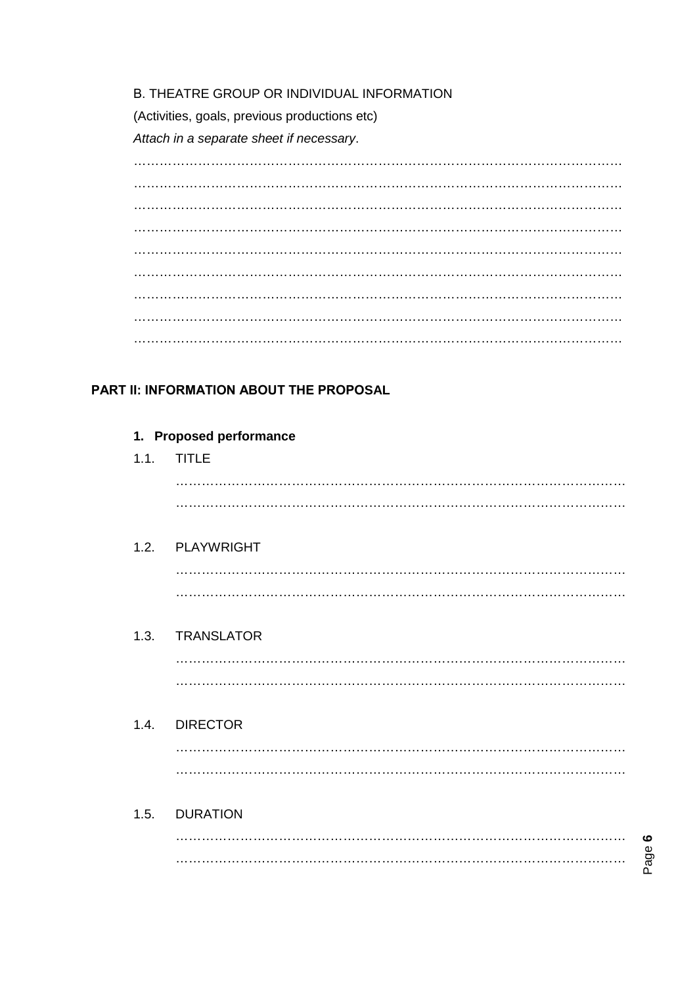#### B. THEATRE GROUP OR INDIVIDUAL INFORMATION

(Activities, goals, previous productions etc)

Attach in a separate sheet if necessary.

# PART II: INFORMATION ABOUT THE PROPOSAL

| 1. Proposed performance |                 |  |  |  |
|-------------------------|-----------------|--|--|--|
|                         | 1.1. TITLE      |  |  |  |
|                         |                 |  |  |  |
|                         |                 |  |  |  |
|                         | 1.2. PLAYWRIGHT |  |  |  |
|                         |                 |  |  |  |
|                         |                 |  |  |  |
|                         | 1.3. TRANSLATOR |  |  |  |
|                         |                 |  |  |  |
|                         |                 |  |  |  |
|                         | 1.4. DIRECTOR   |  |  |  |
|                         |                 |  |  |  |
|                         |                 |  |  |  |
|                         | 1.5. DURATION   |  |  |  |
|                         |                 |  |  |  |

Page 6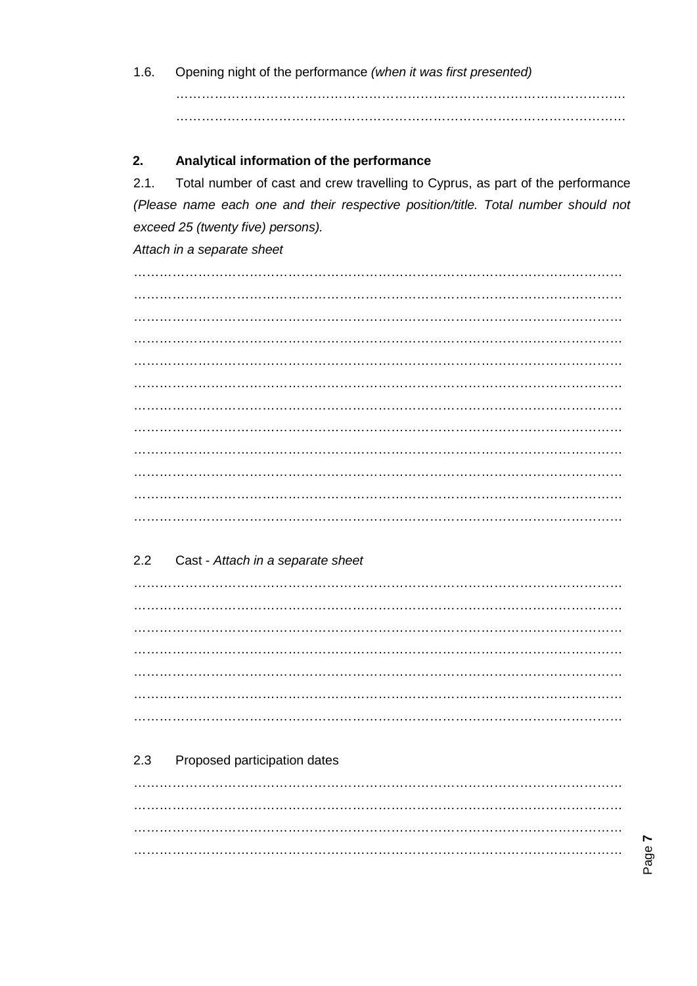$1.6.$ Opening night of the performance (when it was first presented) 

#### $2.$ Analytical information of the performance

 $2.1.$ Total number of cast and crew travelling to Cyprus, as part of the performance (Please name each one and their respective position/title. Total number should not exceed 25 (twenty five) persons).

#### Attach in a separate sheet

#### $2.2$ Cast - Attach in a separate sheet

#### 2.3 Proposed participation dates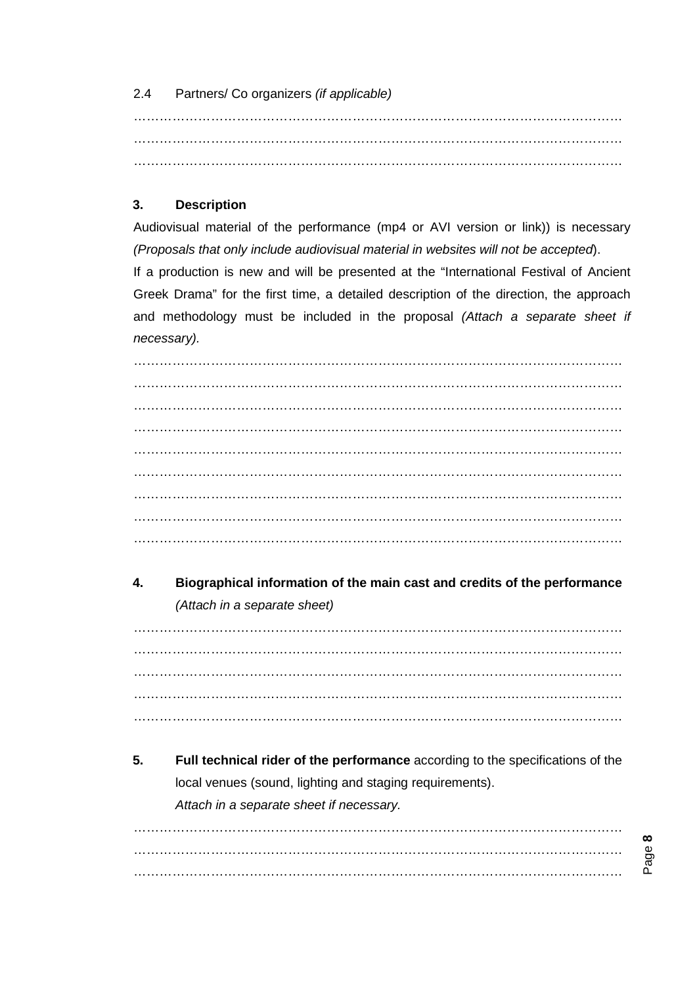### 2.4 Partners/ Co organizers *(if applicable)*

…………………………………………………………………………………………………… ……………………………………………………………………………………………………

### **3. Description**

Audiovisual material of the performance (mp4 or AVI version or link)) is necessary *(Proposals that only include audiovisual material in websites will not be accepted*).

If a production is new and will be presented at the "International Festival of Ancient Greek Drama" for the first time, a detailed description of the direction, the approach and methodology must be included in the proposal *(Attach a separate sheet if necessary).*

…………………………………………………………………………………………………… …………………………………………………………………………………………………… …………………………………………………………………………………………………… …………………………………………………………………………………………………… …………………………………………………………………………………………………… …………………………………………………………………………………………………… …………………………………………………………………………………………………… …………………………………………………………………………………………………… ……………………………………………………………………………………………………

# **4. Biographical information of the main cast and credits of the performance** *(Attach in a separate sheet)*

…………………………………………………………………………………………………… …………………………………………………………………………………………………… …………………………………………………………………………………………………… …………………………………………………………………………………………………… ……………………………………………………………………………………………………

**5. Full technical rider of the performance** according to the specifications of the local venues (sound, lighting and staging requirements). *Attach in a separate sheet if necessary.*

…………………………………………………………………………………………………… …………………………………………………………………………………………………… ……………………………………………………………………………………………………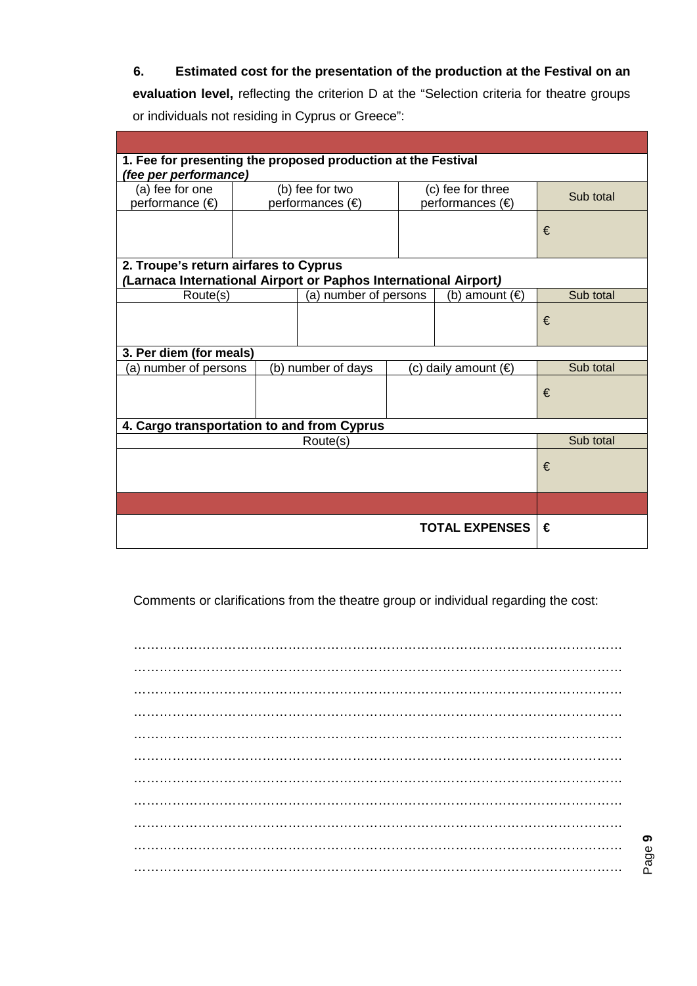### **6. Estimated cost for the presentation of the production at the Festival on an**

**evaluation level,** reflecting the criterion D at the "Selection criteria for theatre groups or individuals not residing in Cyprus or Greece":

| 1. Fee for presenting the proposed production at the Festival   |   |                       |                      |                         |           |  |  |
|-----------------------------------------------------------------|---|-----------------------|----------------------|-------------------------|-----------|--|--|
| (fee per performance)                                           |   |                       |                      |                         |           |  |  |
| (a) fee for one                                                 |   | (b) fee for two       |                      | (c) fee for three       | Sub total |  |  |
| performance (€)                                                 |   | performances (€)      |                      | performances (€)        |           |  |  |
|                                                                 |   |                       |                      |                         |           |  |  |
|                                                                 |   |                       |                      |                         | €         |  |  |
|                                                                 |   |                       |                      |                         |           |  |  |
| 2. Troupe's return airfares to Cyprus                           |   |                       |                      |                         |           |  |  |
| (Larnaca International Airport or Paphos International Airport) |   |                       |                      |                         |           |  |  |
| Route(s)                                                        |   | (a) number of persons |                      | (b) amount $(\epsilon)$ | Sub total |  |  |
|                                                                 |   |                       |                      |                         |           |  |  |
|                                                                 |   |                       |                      |                         | €         |  |  |
|                                                                 |   |                       |                      |                         |           |  |  |
| 3. Per diem (for meals)                                         |   |                       |                      |                         |           |  |  |
| (a) number of persons                                           |   | (b) number of days    | (c) daily amount (€) |                         | Sub total |  |  |
|                                                                 |   |                       |                      |                         | €         |  |  |
|                                                                 |   |                       |                      |                         |           |  |  |
|                                                                 |   |                       |                      |                         |           |  |  |
| 4. Cargo transportation to and from Cyprus                      |   |                       |                      |                         |           |  |  |
| Route(s)                                                        |   |                       |                      |                         | Sub total |  |  |
|                                                                 |   |                       |                      |                         | €         |  |  |
|                                                                 |   |                       |                      |                         |           |  |  |
|                                                                 |   |                       |                      |                         |           |  |  |
|                                                                 |   |                       |                      |                         |           |  |  |
|                                                                 | € |                       |                      |                         |           |  |  |
| <b>TOTAL EXPENSES</b>                                           |   |                       |                      |                         |           |  |  |

Comments or clarifications from the theatre group or individual regarding the cost: